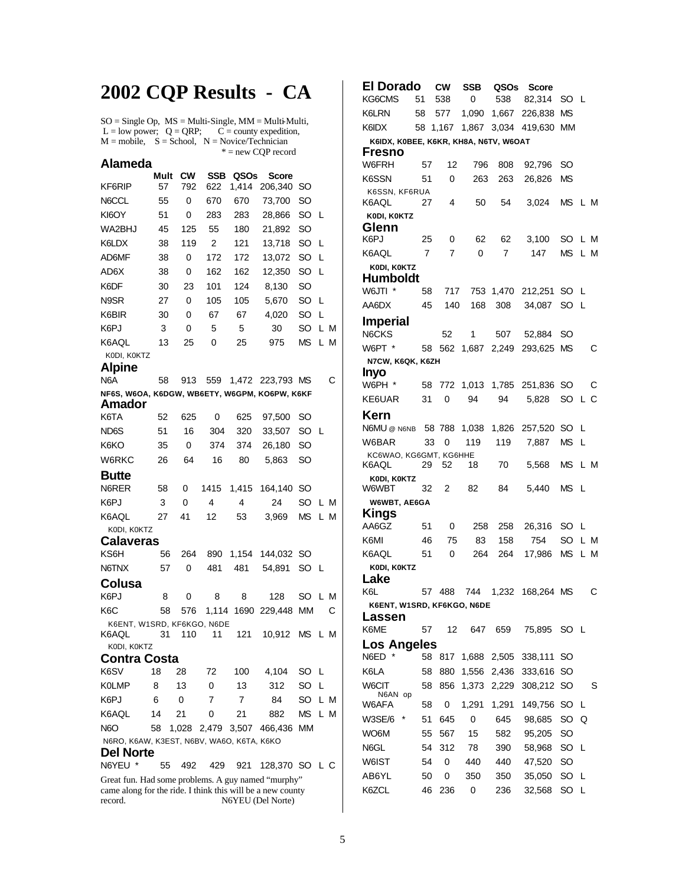## **2002 CQP Results - CA**

 $SO = Single Op$ ,  $MS = Multi-Single$ ,  $MM = Multi-Multi$ ,  $L = low power$ ;  $Q = QRP$ ;  $C = county$  expedition,  $M = mobile$ ,  $S = School$ ,  $N = Novice/Technician$ 

\* = new CQP record **Alameda 1** Mult CW SSB QSOs Score<br>1,414 206,340 KF6RIP 57 792 622 1,414 206,340 1,414 206,340 SO N6CCL 55 0 670 670 73,700 SO KI6OY 51 0 283 283 28,866 SO L WA2BHJ 45 125 55 180 21,892 SO K6LDX 38 119 2 121 13,718 SO L AD6MF 38 0 172 172 13,072 SO L AD6X 38 0 162 162 12,350 SO L K6DF 30 23 101 124 8,130 SO N9SR 27 0 105 105 5,670 SO L K6BIR 30 0 67 67 4,020 SO L K6PJ 3 0 5 5 30 SO L M K6AQL 13 25 0 25 975 MS L M K0DI, K0KTZ **Alpine** N6A 58 913 559 1,472 223,793 MS C **NF6S, W6OA, K6DGW, WB6ETY, W6GPM, KO6PW, K6KF Amador** K6TA 52 625 0 625 97,500 SO ND6S 51 16 304 320 33,507 SO L K6KO 35 0 374 374 26,180 SO W6RKC 26 64 16 80 5,863 SO **Butte** N6RER 58 0 1415 1,415 164,140 SO K6PJ 3 0 4 4 24 SO L M K6AQL 27 41 12 53 3,969 MS L M K0DI, K0KTZ **Calaveras** 56 264 890 1,154 144,032 SO N6TNX 57 0 481 481 54,891 SO L **Colusa** K6PJ 8 0 8 8 128 SO L M K6C 58 576 1,114 1690 229,448 MM C

 K6ENT, W1SRD, KF6KGO, N6DE K6AQL 31 110 11 121 10,912 MS L M K0DI, K0KTZ **Contra Costa** K6SV 18 28 72 100 4,104 SO L K0LMP 8 13 0 13 312 SO L K6PJ 6 0 7 7 84 SO L M K6AQL 14 21 0 21 882 MS L M N6O 58 1,028 2,479 3,507 466,436 MM N6RO, K6AW, K3EST, N6BV, WA6O, K6TA, K6KO **Del Norte** N6YEU \* 55 492 429 921 128,370 SO L C Great fun. Had some problems. A guy named "murphy"

came along for the ride. I think this will be a new county record. N6YEU (Del Norte)

**El Dorado CW SSB QSOs Score** 51 538 0 538 82,314 SO L K6LRN 58 577 1,090 1,667 226,838 MS K6IDX 58 1,167 1,867 3,034 419,630 MM  **K6IDX, K0BEE, K6KR, KH8A, N6TV, W6OAT Fresno** W6FRH 57 12 796 808 92,796 SO K6SSN 51 0 263 263 26,826 MS K6SSN, KF6RUA K6AQL 27 4 50 54 3,024 MS L M  **K0DI, K0KTZ Glenn** 25 0 62 62 3,100 SO L M K6AQL 7 7 0 7 147 MS L M  **K0DI, K0KTZ Humboldt** W6JTI \* 58 717 753 1,470 212,251 SO L AA6DX 45 140 168 308 34,087 SO L **Imperial** N6CKS 52 1 507 52,884 SO W6PT \* 58 562 1,687 2,249 293,625 MS C  **N7CW, K6QK, K6ZH Inyo** W6PH \* 58 772 1,013 1,785 251,836 SO C KE6UAR 31 0 94 94 5,828 SO L C **Kern** N6MU @ N6NB 58 788 1,038 1,826 257,520 SO L W6BAR 33 0 119 119 7,887 MS L KC6WAO, KG6GMT, KG6HHE K6AQL 29 52 18 70 5,568 MS L M  **K0DI, K0KTZ** W6WBT 32 2 82 84 5,440 MS L  **W6WBT, AE6GA Kings** AA6GZ 51 0 258 258 26,316 SO L K6MI 46 75 83 158 754 SO L M K6AQL 51 0 264 264 17,986 MS L M  **K0DI, K0KTZ Lake** K6L 57 488 744 1,232 168,264 MS C  **K6ENT, W1SRD, KF6KGO, N6DE Lassen** K6ME 57 12 647 659 75,895 SO L **Los Angeles** N6ED \* 58 817 1,688 2,505 338,111 SO K6LA 58 880 1,556 2,436 333,616 SO W6CIT N6AN op 58 856 1,373 2,229 308,212 SO S W6AFA 58 0 1,291 1,291 149,756 SO L W3SE/6 \* 51 645 0 645 98,685 SO Q WO6M 55 567 15 582 95,205 SO N6GL 54 312 78 390 58,968 SO L W6IST 54 0 440 440 47,520 SO AB6YL 50 0 350 350 35,050 SO L

K6ZCL 46 236 0 236 32,568 SO L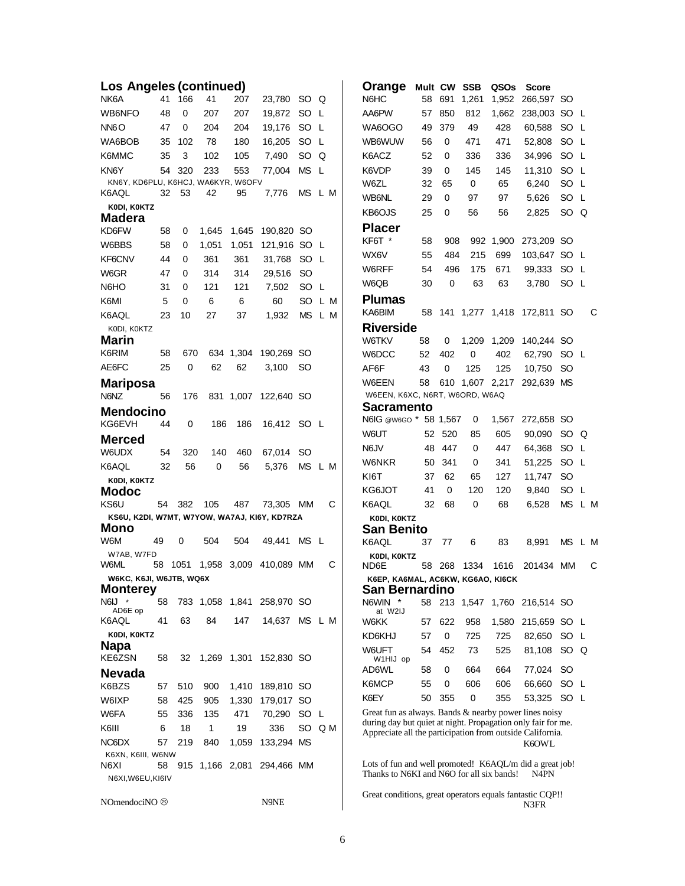| <b>Los Angeles (continued)</b>               |         |        |           |           |                            | Orange          |        | Mult CW                                                                                                                   | <b>SSB</b> | QSOs     | <b>Score</b> |                 |                               |           |     |     |
|----------------------------------------------|---------|--------|-----------|-----------|----------------------------|-----------------|--------|---------------------------------------------------------------------------------------------------------------------------|------------|----------|--------------|-----------------|-------------------------------|-----------|-----|-----|
| NK6A                                         |         | 41 166 | 41        | 207       | 23,780                     | SO Q            |        | N6HC                                                                                                                      | 58         | 691      | 1,261        | 1,952           | 266,597 SO                    |           |     |     |
| WB6NFO                                       | 48      | 0      | 207       | 207       | 19,872                     | SO L            |        | AA6PW                                                                                                                     | 57         | 850      | 812          | 1,662           | 238,003 SO L                  |           |     |     |
| NN6O                                         | 47      | 0      | 204       | 204       | 19,176                     | SO L            |        | WA6OGO                                                                                                                    | 49         | 379      | 49           | 428             | 60,588                        | SO L      |     |     |
| WA6BOB                                       | 35      | 102    | 78        | 180       | 16,205                     | SO L            |        | WB6WUW                                                                                                                    | 56         | 0        | 471          | 471             | 52,808                        | SO L      |     |     |
| K6MMC                                        | 35      | 3      | 102       | 105       | 7,490                      | SO Q            |        | K6ACZ                                                                                                                     | 52         | 0        | 336          | 336             | 34,996                        | SO L      |     |     |
| KN6Y                                         | 54      | 320    | 233       | 553       | 77,004                     | MS <sub>L</sub> |        | K6VDP                                                                                                                     | 39         | 0        | 145          | 145             | 11,310                        | SO L      |     |     |
| KN6Y, KD6PLU, K6HCJ, WA6KYR, W6OFV           |         |        |           |           |                            |                 |        | W6ZL                                                                                                                      | 32         | 65       | 0            | 65              | 6,240                         | SO L      |     |     |
| K6AQL                                        | 32      | 53     | 42        | 95        | 7,776                      |                 | MS L M | WB6NL                                                                                                                     | 29         | 0        | 97           | 97              | 5,626                         | SO L      |     |     |
| KODI, KOKTZ<br>Madera                        |         |        |           |           |                            |                 |        | KB6OJS                                                                                                                    | 25         | 0        | 56           | 56              | 2,825                         | SO Q      |     |     |
| KD6FW                                        | 58      | 0      | 1,645     | 1,645     | 190,820 SO                 |                 |        | <b>Placer</b>                                                                                                             |            |          |              |                 |                               |           |     |     |
| W6BBS                                        | 58      | 0      | 1,051     | 1,051     | 121,916 SO L               |                 |        | KF6T *                                                                                                                    | 58         | 908      |              | 992 1,900       | 273,209 SO                    |           |     |     |
| KF6CNV                                       | 44      | 0      | 361       | 361       | 31,768                     | SO L            |        | WX6V                                                                                                                      | 55         | 484      | 215          | 699             | 103,647 SO L                  |           |     |     |
| W6GR                                         | 47      | 0      | 314       | 314       | 29,516                     | <b>SO</b>       |        | W6RFF                                                                                                                     | 54         | 496      | 175          | 671             | 99,333                        | SO L      |     |     |
| N6HO                                         | 31      | 0      | 121       | 121       | 7,502                      | SO L            |        | W6QB                                                                                                                      | 30         | 0        | 63           | 63              | 3,780                         | SO L      |     |     |
| K6MI                                         | 5       | 0      | 6         | 6         | 60                         |                 | SO L M | <b>Plumas</b>                                                                                                             |            |          |              |                 |                               |           |     |     |
| K6AQL                                        | 23      | 10     | 27        | 37        | 1,932                      |                 | MS L M | KA6BIM                                                                                                                    | 58         |          |              |                 | 141 1,277 1,418 172,811 SO    |           |     | C   |
| KODI, KOKTZ                                  |         |        |           |           |                            |                 |        | <b>Riverside</b>                                                                                                          |            |          |              |                 |                               |           |     |     |
| Marin                                        |         |        |           |           |                            |                 |        | W6TKV                                                                                                                     | 58         | 0        | 1,209        | 1,209           | 140,244 SO                    |           |     |     |
| K6RIM                                        | 58      | 670    |           | 634 1,304 | 190,269                    | SO.             |        | W6DCC                                                                                                                     | 52         | 402      | 0            | 402             | 62,790                        | SO L      |     |     |
| AE6FC                                        | 25      | 0      | 62        | 62        | 3,100                      | SO              |        | AF6F                                                                                                                      | 43         | 0        | 125          | 125             | 10,750                        | <b>SO</b> |     |     |
| <b>Mariposa</b>                              |         |        |           |           |                            |                 |        | W6EEN                                                                                                                     | 58         |          |              | 610 1,607 2,217 | 292,639 MS                    |           |     |     |
| N6NZ                                         | 56      | 176    |           | 831 1,007 | 122,640 SO                 |                 |        | W6EEN, K6XC, N6RT, W6ORD, W6AQ                                                                                            |            |          |              |                 |                               |           |     |     |
| <b>Mendocino</b>                             |         |        |           |           |                            |                 |        | <b>Sacramento</b><br>N6IG @W6GO * 58 1,567                                                                                |            |          | 0            | 1,567           | 272,658 SO                    |           |     |     |
| KG6EVH                                       | 44      | 0      | 186       | 186       | 16,412 SO L                |                 |        | W6UT                                                                                                                      |            | 52 520   | 85           | 605             | 90,090                        | SO Q      |     |     |
| Merced                                       |         |        |           |           |                            |                 |        | N6JV                                                                                                                      | 48         | 447      | 0            | 447             | 64,368                        | SO L      |     |     |
| W6UDX                                        | 54      | 320    | 140       | 460       | 67,014                     | SO.             |        |                                                                                                                           | 50         | 341      | 0            |                 | 51,225                        | SO L      |     |     |
| K6AQL                                        | 32      | 56     | 0         | 56        | 5,376                      |                 | MS L M | W6NKR                                                                                                                     |            | 62       |              | 341             |                               | <b>SO</b> |     |     |
| KODI, KOKTZ                                  |         |        |           |           |                            |                 |        | KI6T<br>KG6JOT                                                                                                            | 37<br>41   | $\Omega$ | 65<br>120    | 127<br>120      | 11,747<br>9,840               | SO        | L   |     |
| Modoc<br>KS6U                                | 54      | 382    | 105       | 487       | 73,305                     | MМ              | C      | K6AQL                                                                                                                     | 32         | 68       | 0            | 68              | 6,528                         | <b>MS</b> | L M |     |
| KS6U, K2DI, W7MT, W7YOW, WA7AJ, KI6Y, KD7RZA |         |        |           |           |                            |                 |        | KODI, KOKTZ                                                                                                               |            |          |              |                 |                               |           |     |     |
| Mono                                         |         |        |           |           |                            |                 |        | <b>San Benito</b>                                                                                                         |            |          |              |                 |                               |           |     |     |
| W6M                                          | 49      | 0      | 504       | 504       | 49,441                     | MS L            |        | K6AQL                                                                                                                     | 37         | 77       | 6            | 83              | 8,991                         | МS        |     | L M |
| W7AB, W7FD                                   |         |        |           |           |                            |                 |        | KODI, KOKTZ                                                                                                               |            |          |              |                 |                               |           |     |     |
| W6ML                                         | 58 1051 |        |           |           | 1,958 3,009 410,089 MM     |                 | С      | ND6E                                                                                                                      |            | 58 268   | 1334         | 1616            | 201434 MM                     |           |     | С   |
| W6KC, K6JI, W6JTB, WQ6X<br><b>Monterey</b>   |         |        |           |           |                            |                 |        | K6EP, KA6MAL, AC6KW, KG6AO, KI6CK<br><b>San Bernardino</b>                                                                |            |          |              |                 |                               |           |     |     |
| N6IJ *                                       | 58      |        | 783 1,058 | 1,841     | 258,970 SO                 |                 |        | N6WIN *                                                                                                                   |            |          |              |                 | 58 213 1,547 1,760 216,514 SO |           |     |     |
| AD6E op<br>K6AQL                             | 41      | 63     | 84        | 147       | 14,637 MS L M              |                 |        | at W2IJ<br>W6KK                                                                                                           |            | 622      | 958          |                 |                               |           |     |     |
| KODI, KOKTZ                                  |         |        |           |           |                            |                 |        |                                                                                                                           | 57         | 0        | 725          | 725             | 1,580 215,659 SO L<br>82,650  | SO L      |     |     |
| Napa                                         |         |        |           |           |                            |                 |        | KD6KHJ                                                                                                                    | 57         | 452      |              |                 |                               |           |     |     |
| KE6ZSN                                       | 58      | 32     | 1,269     | 1,301     | 152,830 SO                 |                 |        | W6UFT<br>W1HIJ op                                                                                                         | 54         |          | 73           | 525             | 81,108                        | SO Q      |     |     |
| <b>Nevada</b>                                |         |        |           |           |                            |                 |        | AD6WL                                                                                                                     | 58         | 0        | 664          | 664             | 77,024                        | SO        |     |     |
| K6BZS                                        | 57      | 510    | 900       | 1,410     | 189,810 SO                 |                 |        | K6MCP                                                                                                                     | 55         | 0        | 606          | 606             | 66,660                        | SO L      |     |     |
| W6IXP                                        | 58      | 425    | 905       | 1,330     | 179,017 SO                 |                 |        | K6EY                                                                                                                      | 50         | 355      | 0            | 355             | 53,325                        | SO L      |     |     |
| W6FA                                         | 55      | 336    | 135       | 471       | 70,290                     | SO L            |        | Great fun as always. Bands $\&$ nearby power lines noisy                                                                  |            |          |              |                 |                               |           |     |     |
| K6III                                        | 6       | 18     | 1         | 19        | 336                        |                 | SO QM  | during day but quiet at night. Propagation only fair for me.<br>Appreciate all the participation from outside California. |            |          |              |                 |                               |           |     |     |
| NC6DX                                        | 57      | 219    | 840       | 1,059     | 133,294 MS                 |                 |        |                                                                                                                           |            |          |              |                 | K6OWL                         |           |     |     |
| K6XN, K6III, W6NW                            |         |        |           |           |                            |                 |        |                                                                                                                           |            |          |              |                 |                               |           |     |     |
| N6XI<br>N6XI, W6EU, KI6IV                    | 58      |        |           |           | 915 1,166 2,081 294,466 MM |                 |        | Lots of fun and well promoted! K6AQL/m did a great job!<br>Thanks to N6KI and N6O for all six bands!                      |            |          |              |                 | N4PN                          |           |     |     |
|                                              |         |        |           |           |                            |                 |        |                                                                                                                           |            |          |              |                 |                               |           |     |     |
| NOmendociNO $\otimes$                        |         |        |           |           | N9NE                       |                 |        | Great conditions, great operators equals fantastic CQP!!                                                                  |            |          |              |                 | N3FR                          |           |     |     |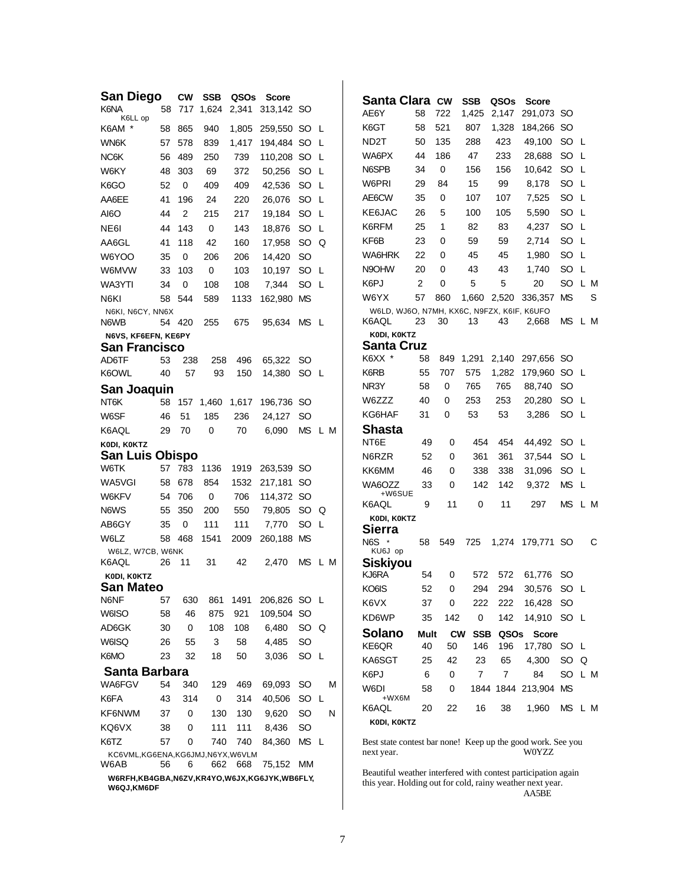| San Diego<br>K6NA                           | 58 | CW<br>717 | <b>SSB</b><br>1,624 | QSOs<br>2,341 | <b>Score</b><br>313,142 SO |               |        | Santa Clara cw                                                |      |           | <b>SSB</b>     | QSOs           | <b>Score</b>         |                 |        |
|---------------------------------------------|----|-----------|---------------------|---------------|----------------------------|---------------|--------|---------------------------------------------------------------|------|-----------|----------------|----------------|----------------------|-----------------|--------|
| K6LL op                                     |    |           |                     |               |                            |               |        | AE6Y                                                          | 58   | 722       | 1,425          | 2.147          | 291,073 SO           |                 |        |
| $\ast$<br>K6AM                              | 58 | 865       | 940                 | 1,805         | 259,550 SO L               |               |        | K6GT                                                          | 58   | 521       | 807            | 1,328          | 184,266 SO           |                 |        |
| WN6K                                        | 57 | 578       | 839                 | 1,417         | 194,484 SO L               |               |        | ND <sub>2</sub> T                                             | 50   | 135       | 288            | 423            | 49,100               | SO L            |        |
| NC6K                                        | 56 | 489       | 250                 | 739           | 110,208 SO L               |               |        | WA6PX                                                         | 44   | 186       | 47             | 233            | 28,688               | SO L            |        |
| W6KY                                        | 48 | 303       | 69                  | 372           | 50,256                     | SO L          |        | N6SPB                                                         | 34   | 0         | 156            | 156            | 10,642               | SO L            |        |
| K6GO                                        | 52 | 0         | 409                 | 409           | 42,536                     | SO L          |        | W6PRI                                                         | 29   | 84        | 15             | 99             | 8,178                | SO L            |        |
| AA6EE                                       | 41 | 196       | 24                  | 220           | 26,076                     | SO L          |        | AE6CW                                                         | 35   | 0         | 107            | 107            | 7,525                | SO L            |        |
| AI6O                                        | 44 | 2         | 215                 | 217           | 19,184                     | SO L          |        | KE6JAC                                                        | 26   | 5         | 100            | 105            | 5,590                | SO L            |        |
| NE6I                                        | 44 | 143       | $\mathbf 0$         | 143           | 18,876                     | <b>SO</b>     | -L     | K6RFM                                                         | 25   | 1         | 82             | 83             | 4,237                | SO L            |        |
| AA6GL                                       | 41 | 118       | 42                  | 160           | 17,958                     | SO.           | Q      | KF6B                                                          | 23   | 0         | 59             | 59             | 2,714                | SO L            |        |
| W6YOO                                       | 35 | 0         | 206                 | 206           | 14,420                     | <sub>SO</sub> |        | <b>WA6HRK</b>                                                 | 22   | $\Omega$  | 45             | 45             | 1,980                | SO L            |        |
| W6MVW                                       | 33 | 103       | $\mathbf 0$         | 103           | 10,197                     | SO L          |        | N9OHW                                                         | 20   | $\Omega$  | 43             | 43             | 1,740                | SO L            |        |
| WA3YTI                                      | 34 | 0         | 108                 | 108           | 7,344                      | SO L          |        | K6PJ                                                          | 2    | 0         | 5              | 5              | 20                   |                 | SO L M |
| N6KI                                        | 58 | 544       | 589                 | 1133          | 162,980 MS                 |               |        | W6YX                                                          | 57   | 860       | 1,660          | 2,520          | 336.357              | <b>MS</b>       | S      |
| N6KI, N6CY, NN6X                            |    |           |                     |               |                            |               |        | W6LD, WJ6O, N7MH, KX6C, N9FZX, K6IF, K6UFO                    |      |           |                |                |                      |                 |        |
| N6WB                                        | 54 | 420       | 255                 | 675           | 95,634                     | MS            | L      | K6AQL                                                         | 23   | 30        | 13             | 43             | 2.668                | MS.             | L M    |
| N6VS, KF6EFN, KE6PY                         |    |           |                     |               |                            |               |        | KODI, KOKTZ<br><b>Santa Cruz</b>                              |      |           |                |                |                      |                 |        |
| <b>San Francisco</b><br>AD6TF               | 53 | 238       | 258                 | 496           | 65,322                     | SO            |        | K6XX *                                                        | 58   | 849       | 1,291          | 2,140          | 297,656 SO           |                 |        |
| K6OWL                                       | 40 | 57        | 93                  | 150           | 14,380                     | SO L          |        | K6RB                                                          | 55   | 707       | 575            | 1,282          | 179,960              | SO L            |        |
|                                             |    |           |                     |               |                            |               |        | NR3Y                                                          | 58   | 0         | 765            | 765            | 88,740               | <sub>SO</sub>   |        |
| San Joaquin<br>NT6K                         |    | 157       |                     |               |                            |               |        | W6ZZZ                                                         | 40   | 0         | 253            | 253            | 20,280               | SO L            |        |
| W6SF                                        | 58 | 51        | 1,460               | 1,617         | 196,736 SO                 |               |        | KG6HAF                                                        | 31   | 0         | 53             | 53             | 3,286                | SO L            |        |
|                                             | 46 |           | 185                 | 236           | 24,127                     | SO            |        | <b>Shasta</b>                                                 |      |           |                |                |                      |                 |        |
| K6AQL                                       | 29 | 70        | 0                   | 70            | 6,090                      | МS            | L M    | NT6E                                                          | 49   | 0         | 454            | 454            | 44,492               | SO L            |        |
| KODI, KOKTZ<br><b>San Luis Obispo</b>       |    |           |                     |               |                            |               |        | N6RZR                                                         | 52   | 0         | 361            | 361            | 37,544               | SO L            |        |
| W6TK                                        | 57 | 783       | 1136                | 1919          | 263,539 SO                 |               |        | KK6MM                                                         | 46   | 0         | 338            | 338            | 31,096               | SO L            |        |
| WA5VGI                                      | 58 | 678       | 854                 | 1532          | 217,181                    | SO.           |        | WA6OZZ                                                        | 33   | 0         | 142            | 142            | 9,372                | MS <sub>L</sub> |        |
| W6KFV                                       | 54 | 706       | 0                   | 706           | 114,372 SO                 |               |        | +W6SUE                                                        |      |           |                |                |                      |                 |        |
| N6WS                                        | 55 | 350       | 200                 | 550           | 79,805                     | SO            | Q      | K6AQL                                                         | 9    | 11        | 0              | 11             | 297                  | ΜS              | L M    |
| AB6GY                                       | 35 | 0         | 111                 | 111           | 7,770                      | SO            | └      | KODI, KOKTZ                                                   |      |           |                |                |                      |                 |        |
| W6LZ                                        | 58 | 468       | 1541                | 2009          | 260,188 MS                 |               |        | <b>Sierra</b><br>N6S *                                        | 58   | 549       | 725            |                | 1,274 179,771 SO     |                 | C      |
| W6LZ, W7CB, W6NK                            |    |           |                     |               |                            |               |        | KU6J op                                                       |      |           |                |                |                      |                 |        |
| K6AQL                                       | 26 | 11        | 31                  | 42            | 2,470                      |               | MS L M | Siskiyou                                                      |      |           |                |                |                      |                 |        |
| KODI. KOKTZ                                 |    |           |                     |               |                            |               |        | KJ6RA                                                         | 54   | 0         | 572            | 572            | 61,776               | SO              |        |
| <b>San Mateo</b>                            |    |           |                     |               |                            |               |        | KO6IS                                                         | 52   | 0         | 294            | 294            | 30,576 SO L          |                 |        |
| N6NF                                        | 57 | 630       | 861                 | 1491          | 206,826 SO L               |               |        | K6VX                                                          | 37   | 0         | 222            | 222            | 16,428               | <b>SO</b>       |        |
| W6ISO                                       | 58 | 46        | 875                 | 921           | 109,504 SO                 |               |        | KD6WP                                                         | 35   | 142       | $\mathbf 0$    | 142            | 14,910 SO L          |                 |        |
| AD6GK                                       | 30 | 0         | 108                 | 108           | 6,480                      | SO Q          |        | <b>Solano</b>                                                 | Mult | <b>CW</b> | <b>SSB</b>     | QSOs           | Score                |                 |        |
| <b>W6ISQ</b>                                | 26 | 55        | 3                   | 58            | 4,485                      | <b>SO</b>     |        | KE6QR                                                         | 40   | 50        | 146            | 196            | 17,780 SO L          |                 |        |
| K6MO                                        | 23 | 32        | 18                  | 50            | 3,036                      | SO L          |        | KA6SGT                                                        | 25   | 42        | 23             | 65             | 4,300                | SO Q            |        |
| Santa Barbara                               |    |           |                     |               |                            |               |        | K6PJ                                                          | 6    | 0         | $\overline{7}$ | $\overline{7}$ | 84                   |                 | SO L M |
| WA6FGV                                      | 54 | 340       | 129                 | 469           | 69,093                     | <b>SO</b>     | м      | W6DI                                                          | 58   | 0         |                |                | 1844 1844 213,904 MS |                 |        |
| K6FA                                        | 43 | 314       | $\mathbf 0$         | 314           | 40,506                     | SO L          |        | +WX6M<br>K6AQL                                                | 20   | 22        | 16             | 38             | 1,960                |                 | MS L M |
| KF6NWM                                      | 37 | 0         | 130                 | 130           | 9,620                      | <b>SO</b>     | N      | KODI, KOKTZ                                                   |      |           |                |                |                      |                 |        |
| KQ6VX                                       | 38 | 0         | 111                 | 111           | 8,436                      | <b>SO</b>     |        |                                                               |      |           |                |                |                      |                 |        |
| K6TZ                                        | 57 | 0         | 740                 | 740           | 84,360                     | MS L          |        | Best state contest bar none! Keep up the good work. See you   |      |           |                |                | <b>WOYZZ</b>         |                 |        |
| KC6VML,KG6ENA,KG6JMJ,N6YX,W6VLM<br>W6AB     | 56 | 6         | 662                 | 668           | 75,152 MM                  |               |        | next year.                                                    |      |           |                |                |                      |                 |        |
| W6RFH,KB4GBA,N6ZV,KR4YO,W6JX,KG6JYK,WB6FLY, |    |           |                     |               |                            |               |        | Beautiful weather interfered with contest participation again |      |           |                |                |                      |                 |        |
| <b>W6QJ,KM6DF</b>                           |    |           |                     |               |                            |               |        | this year. Holding out for cold, rainy weather next year.     |      |           |                |                | AA5BE                |                 |        |
|                                             |    |           |                     |               |                            |               |        |                                                               |      |           |                |                |                      |                 |        |